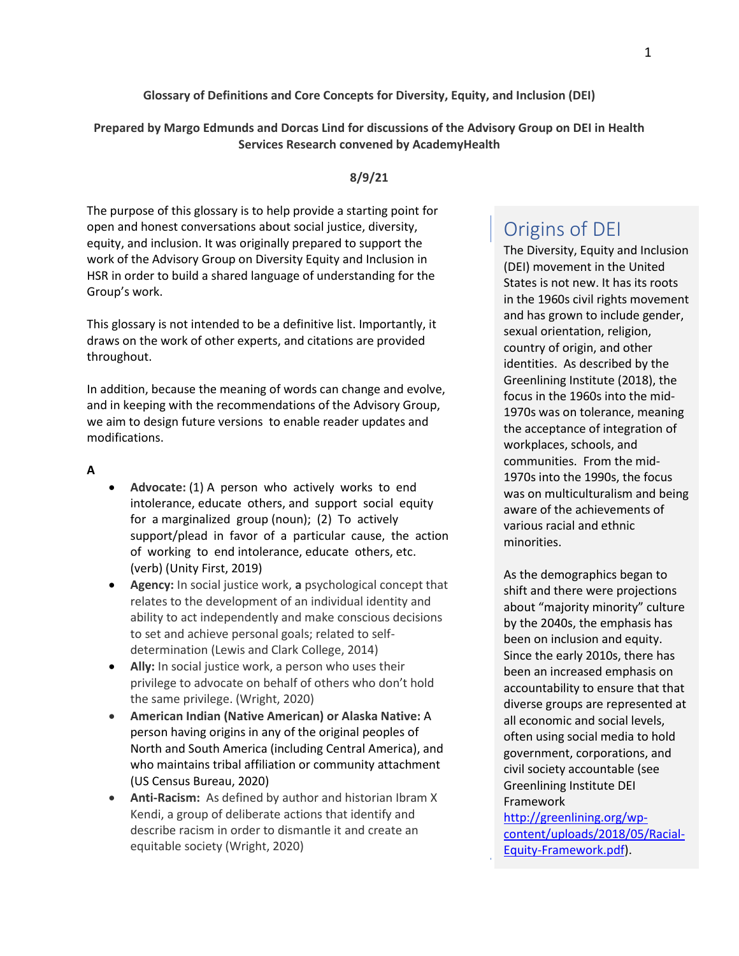#### **Glossary of Definitions and Core Concepts for Diversity, Equity, and Inclusion (DEI)**

**Prepared by Margo Edmunds and Dorcas Lind for discussions of the Advisory Group on DEI in Health Services Research convened by AcademyHealth**

## **8/9/21**

The purpose of this glossary is to help provide a starting point for open and honest conversations about social justice, diversity, equity, and inclusion. It was originally prepared to support the work of the Advisory Group on Diversity Equity and Inclusion in HSR in order to build a shared language of understanding for the Group's work.

This glossary is not intended to be a definitive list. Importantly, it draws on the work of other experts, and citations are provided throughout.

In addition, because the meaning of words can change and evolve, and in keeping with the recommendations of the Advisory Group, we aim to design future versions to enable reader updates and modifications.

#### **A**

- **Advocate:** (1) A person who actively works to end intolerance, educate others, and support social equity for a marginalized group (noun); (2) To actively support/plead in favor of a particular cause, the action of working to end intolerance, educate others, etc. (verb) (Unity First, 2019)
- **Agency:** In social justice work, **a** psychological concept that relates to the development of an individual identity and ability to act independently and make conscious decisions to set and achieve personal goals; related to selfdetermination (Lewis and Clark College, 2014)
- **Ally:** In social justice work, a person who uses their privilege to advocate on behalf of others who don't hold the same privilege. (Wright, 2020)
- **American Indian (Native American) or Alaska Native:** A person having origins in any of the original peoples of North and South America (including Central America), and who maintains tribal affiliation or community attachment (US Census Bureau, 2020)
- **Anti-Racism:** As defined by author and historian Ibram X Kendi, a group of deliberate actions that identify and describe racism in order to dismantle it and create an equitable society (Wright, 2020)

# Origins of DEI

The Diversity, Equity and Inclusion (DEI) movement in the United States is not new. It has its roots in the 1960s civil rights movement and has grown to include gender, sexual orientation, religion, country of origin, and other identities. As described by the Greenlining Institute (2018), the focus in the 1960s into the mid-1970s was on tolerance, meaning the acceptance of integration of workplaces, schools, and communities. From the mid-1970s into the 1990s, the focus was on multiculturalism and being aware of the achievements of various racial and ethnic minorities.

As the demographics began to shift and there were projections about "majority minority" culture by the 2040s, the emphasis has been on inclusion and equity. Since the early 2010s, there has been an increased emphasis on accountability to ensure that that diverse groups are represented at all economic and social levels, often using social media to hold government, corporations, and civil society accountable (see Greenlining Institute DEI Framework

[http://greenlining.org/wp](http://greenlining.org/wp-content/uploads/2018/05/Racial-Equity-Framework.pdf)[content/uploads/2018/05/Racial-](http://greenlining.org/wp-content/uploads/2018/05/Racial-Equity-Framework.pdf)[Equity-Framework.pdf\)](http://greenlining.org/wp-content/uploads/2018/05/Racial-Equity-Framework.pdf).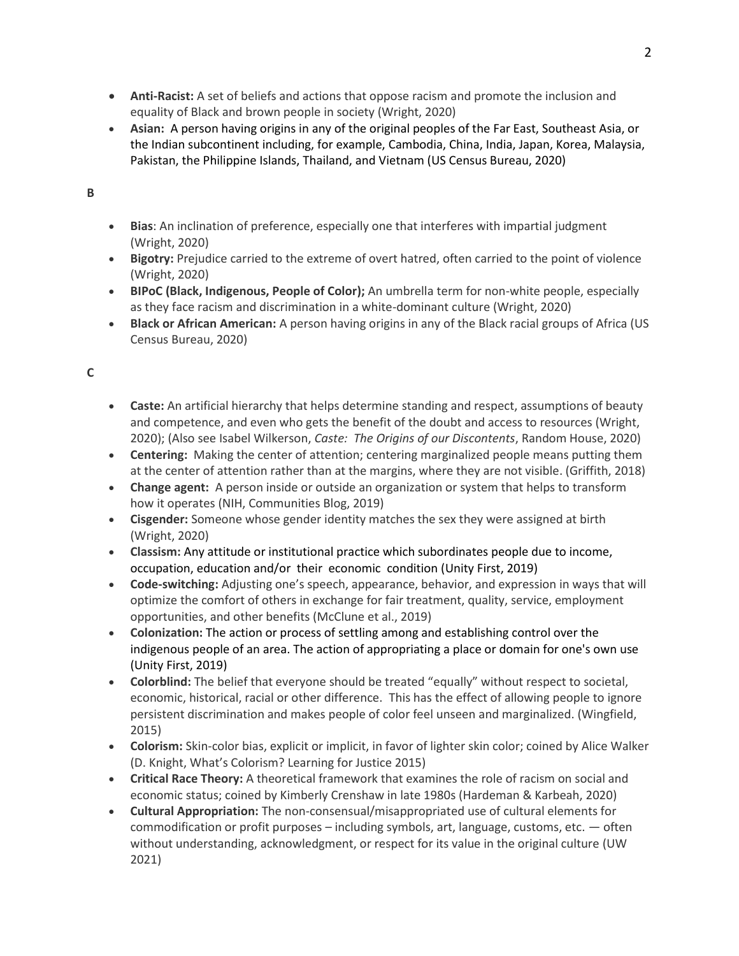- **Anti-Racist:** A set of beliefs and actions that oppose racism and promote the inclusion and equality of Black and brown people in society (Wright, 2020)
- **Asian:** A person having origins in any of the original peoples of the Far East, Southeast Asia, or the Indian subcontinent including, for example, Cambodia, China, India, Japan, Korea, Malaysia, Pakistan, the Philippine Islands, Thailand, and Vietnam (US Census Bureau, 2020)

## **B**

- **Bias**: An inclination of preference, especially one that interferes with impartial judgment (Wright, 2020)
- **Bigotry:** Prejudice carried to the extreme of overt hatred, often carried to the point of violence (Wright, 2020)
- **BIPoC (Black, Indigenous, People of Color);** An umbrella term for non-white people, especially as they face racism and discrimination in a white-dominant culture (Wright, 2020)
- **Black or African American:** A person having origins in any of the Black racial groups of Africa (US Census Bureau, 2020)

# **C**

- **Caste:** An artificial hierarchy that helps determine standing and respect, assumptions of beauty and competence, and even who gets the benefit of the doubt and access to resources (Wright, 2020); (Also see Isabel Wilkerson, *Caste: The Origins of our Discontents*, Random House, 2020)
- **Centering:** Making the center of attention; centering marginalized people means putting them at the center of attention rather than at the margins, where they are not visible. (Griffith, 2018)
- **Change agent:** A person inside or outside an organization or system that helps to transform how it operates (NIH, Communities Blog, 2019)
- **Cisgender:** Someone whose gender identity matches the sex they were assigned at birth (Wright, 2020)
- **Classism:** Any attitude or institutional practice which subordinates people due to income, occupation, education and/or their economic condition (Unity First, 2019)
- **Code-switching:** Adjusting one's speech, appearance, behavior, and expression in ways that will optimize the comfort of others in exchange for fair treatment, quality, service, employment opportunities, and other benefits (McClune et al., 2019)
- **Colonization:** The action or process of settling among and establishing control over the indigenous people of an area. The action of appropriating a place or domain for one's own use (Unity First, 2019)
- **Colorblind:** The belief that everyone should be treated "equally" without respect to societal, economic, historical, racial or other difference. This has the effect of allowing people to ignore persistent discrimination and makes people of color feel unseen and marginalized. (Wingfield, 2015)
- **Colorism:** Skin-color bias, explicit or implicit, in favor of lighter skin color; coined by Alice Walker (D. Knight, What's Colorism? Learning for Justice 2015)
- **Critical Race Theory:** A theoretical framework that examines the role of racism on social and economic status; coined by Kimberly Crenshaw in late 1980s (Hardeman & Karbeah, 2020)
- **Cultural Appropriation:** The non-consensual/misappropriated use of cultural elements for commodification or profit purposes – including symbols, art, language, customs, etc. — often without understanding, acknowledgment, or respect for its value in the original culture (UW 2021)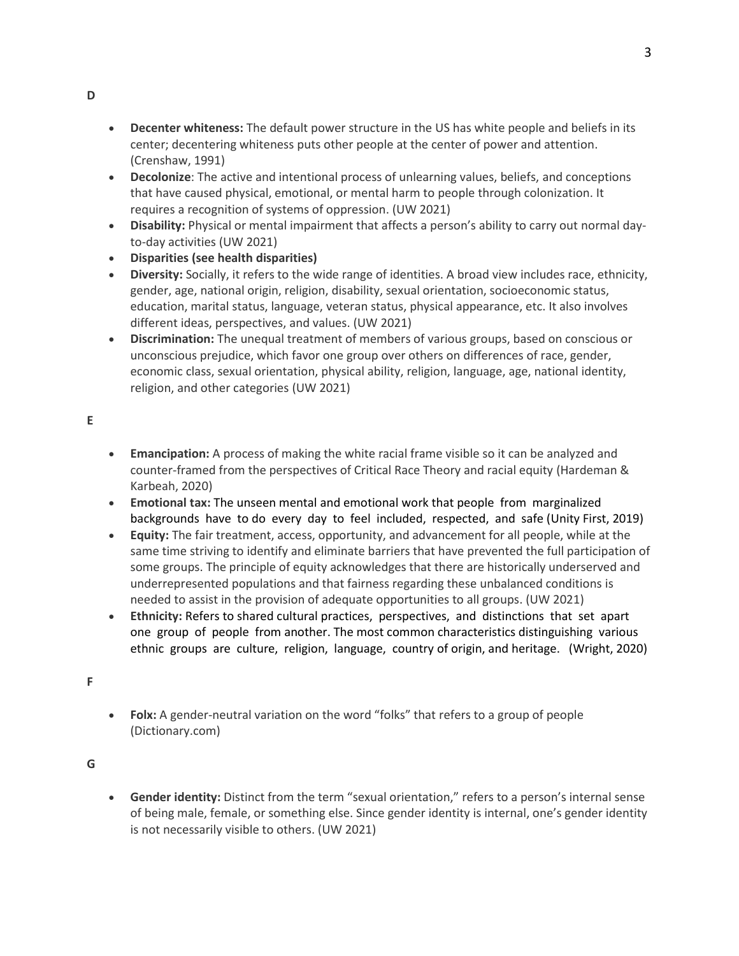- **Decenter whiteness:** The default power structure in the US has white people and beliefs in its center; decentering whiteness puts other people at the center of power and attention. (Crenshaw, 1991)
- **Decolonize**: The active and intentional process of unlearning values, beliefs, and conceptions that have caused physical, emotional, or mental harm to people through colonization. It requires a recognition of systems of oppression. (UW 2021)
- **Disability:** Physical or mental impairment that affects a person's ability to carry out normal dayto-day activities (UW 2021)
- **Disparities (see health disparities)**
- **Diversity:** Socially, it refers to the wide range of identities. A broad view includes race, ethnicity, gender, age, national origin, religion, disability, sexual orientation, socioeconomic status, education, marital status, language, veteran status, physical appearance, etc. It also involves different ideas, perspectives, and values. (UW 2021)
- **Discrimination:** The unequal treatment of members of various groups, based on conscious or unconscious prejudice, which favor one group over others on differences of race, gender, economic class, sexual orientation, physical ability, religion, language, age, national identity, religion, and other categories (UW 2021)

**E**

- **Emancipation:** A process of making the white racial frame visible so it can be analyzed and counter-framed from the perspectives of Critical Race Theory and racial equity (Hardeman & Karbeah, 2020)
- **Emotional tax:** The unseen mental and emotional work that people from marginalized backgrounds have to do every day to feel included, respected, and safe (Unity First, 2019)
- **Equity:** The fair treatment, access, opportunity, and advancement for all people, while at the same time striving to identify and eliminate barriers that have prevented the full participation of some groups. The principle of equity acknowledges that there are historically underserved and underrepresented populations and that fairness regarding these unbalanced conditions is needed to assist in the provision of adequate opportunities to all groups. (UW 2021)
- **Ethnicity:** Refers to shared cultural practices, perspectives, and distinctions that set apart one group of people from another. The most common characteristics distinguishing various ethnic groups are culture, religion, language, country of origin, and heritage. (Wright, 2020)

**F**

• **Folx:** A gender-neutral variation on the word "folks" that refers to a group of people (Dictionary.com)

**G**

• **Gender identity:** Distinct from the term "sexual orientation," refers to a person's internal sense of being male, female, or something else. Since gender identity is internal, one's gender identity is not necessarily visible to others. (UW 2021)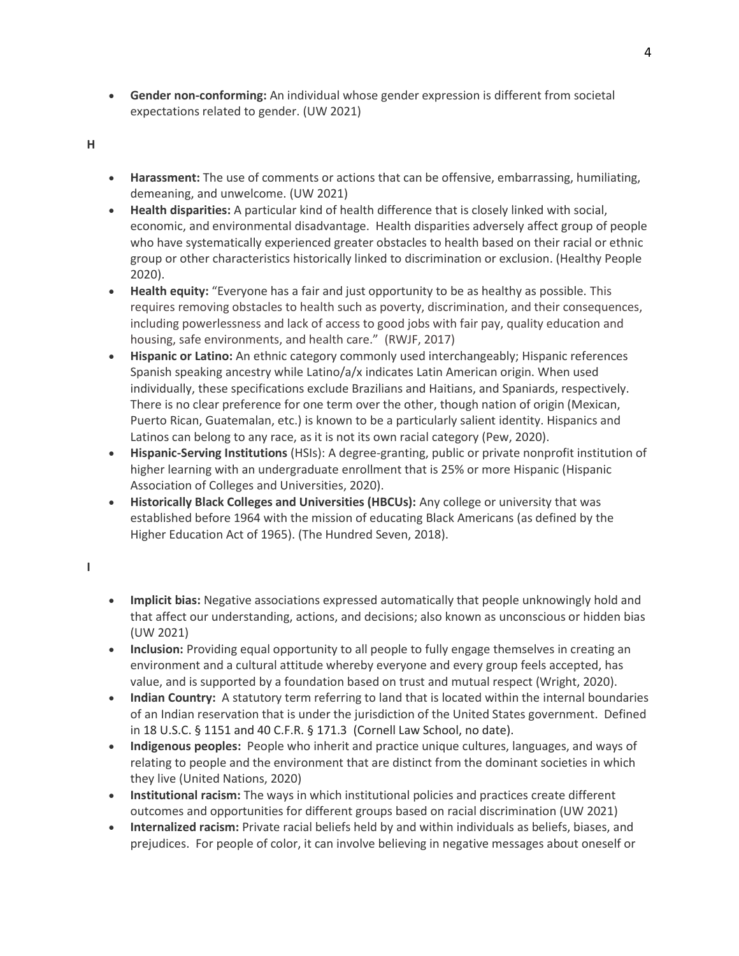- **Gender non-conforming:** An individual whose gender expression is different from societal expectations related to gender. (UW 2021)
- **H**
- **Harassment:** The use of comments or actions that can be offensive, embarrassing, humiliating, demeaning, and unwelcome. (UW 2021)
- **Health disparities:** A particular kind of health difference that is closely linked with social, economic, and environmental disadvantage. Health disparities adversely affect group of people who have systematically experienced greater obstacles to health based on their racial or ethnic group or other characteristics historically linked to discrimination or exclusion. (Healthy People 2020).
- **Health equity:** "Everyone has a fair and just opportunity to be as healthy as possible. This requires removing obstacles to health such as poverty, discrimination, and their consequences, including powerlessness and lack of access to good jobs with fair pay, quality education and housing, safe environments, and health care." (RWJF, 2017)
- **Hispanic or Latino:** An ethnic category commonly used interchangeably; Hispanic references Spanish speaking ancestry while Latino/a/x indicates Latin American origin. When used individually, these specifications exclude Brazilians and Haitians, and Spaniards, respectively. There is no clear preference for one term over the other, though nation of origin (Mexican, Puerto Rican, Guatemalan, etc.) is known to be a particularly salient identity. Hispanics and Latinos can belong to any race, as it is not its own racial category (Pew, 2020).
- **Hispanic-Serving Institutions** (HSIs): A degree-granting, public or private nonprofit institution of higher learning with an undergraduate enrollment that is 25% or more Hispanic (Hispanic Association of Colleges and Universities, 2020).
- **Historically Black Colleges and Universities (HBCUs):** Any college or university that was established before 1964 with the mission of educating Black Americans (as defined by the Higher Education Act of 1965). (The Hundred Seven, 2018).
- **I**
- **Implicit bias:** Negative associations expressed automatically that people unknowingly hold and that affect our understanding, actions, and decisions; also known as unconscious or hidden bias (UW 2021)
- **Inclusion:** Providing equal opportunity to all people to fully engage themselves in creating an environment and a cultural attitude whereby everyone and every group feels accepted, has value, and is supported by a foundation based on trust and mutual respect (Wright, 2020).
- **Indian Country:** A statutory term referring to land that is located within the internal boundaries of an Indian reservation that is under the jurisdiction of the United States government. Defined in 18 U.S.C. § 1151 and 40 C.F.R. § 171.3 (Cornell Law School, no date).
- **Indigenous peoples:** People who inherit and practice unique cultures, languages, and ways of relating to people and the environment that are distinct from the dominant societies in which they live (United Nations, 2020)
- **Institutional racism:** The ways in which institutional policies and practices create different outcomes and opportunities for different groups based on racial discrimination (UW 2021)
- **Internalized racism:** Private racial beliefs held by and within individuals as beliefs, biases, and prejudices. For people of color, it can involve believing in negative messages about oneself or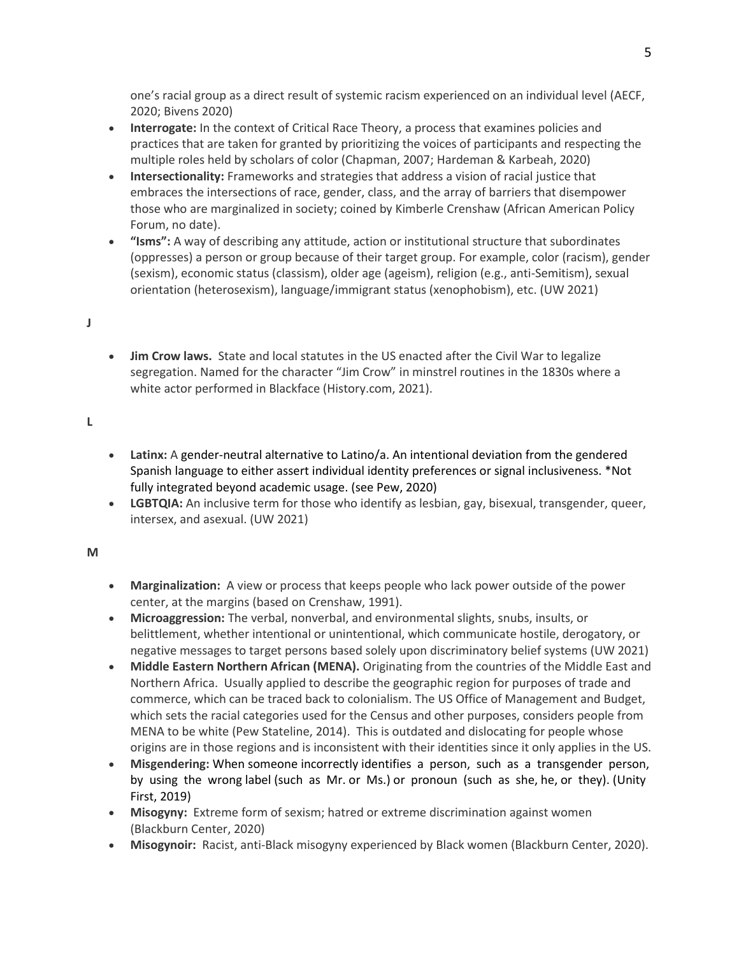one's racial group as a direct result of systemic racism experienced on an individual level (AECF, 2020; Bivens 2020)

- **Interrogate:** In the context of Critical Race Theory, a process that examines policies and practices that are taken for granted by prioritizing the voices of participants and respecting the multiple roles held by scholars of color (Chapman, 2007; Hardeman & Karbeah, 2020)
- **Intersectionality:** Frameworks and strategies that address a vision of racial justice that embraces the intersections of race, gender, class, and the array of barriers that disempower those who are marginalized in society; coined by Kimberle Crenshaw (African American Policy Forum, no date).
- **"Isms":** A way of describing any attitude, action or institutional structure that subordinates (oppresses) a person or group because of their target group. For example, color (racism), gender (sexism), economic status (classism), older age (ageism), religion (e.g., anti-Semitism), sexual orientation (heterosexism), language/immigrant status (xenophobism), etc. (UW 2021)

## **J**

• **Jim Crow laws.** State and local statutes in the US enacted after the Civil War to legalize segregation. Named for the character "Jim Crow" in minstrel routines in the 1830s where a white actor performed in Blackface (History.com, 2021).

## **L**

- **Latinx:** A gender-neutral alternative to Latino/a. An intentional deviation from the gendered Spanish language to either assert individual identity preferences or signal inclusiveness. \*Not fully integrated beyond academic usage. (see Pew, 2020)
- **LGBTQIA:** An inclusive term for those who identify as lesbian, gay, bisexual, transgender, queer, intersex, and asexual. (UW 2021)

#### **M**

- **Marginalization:** A view or process that keeps people who lack power outside of the power center, at the margins (based on Crenshaw, 1991).
- **Microaggression:** The verbal, nonverbal, and environmental slights, snubs, insults, or belittlement, whether intentional or unintentional, which communicate hostile, derogatory, or negative messages to target persons based solely upon discriminatory belief systems (UW 2021)
- **Middle Eastern Northern African (MENA).** Originating from the countries of the Middle East and Northern Africa. Usually applied to describe the geographic region for purposes of trade and commerce, which can be traced back to colonialism. The US Office of Management and Budget, which sets the racial categories used for the Census and other purposes, considers people from MENA to be white (Pew Stateline, 2014). This is outdated and dislocating for people whose origins are in those regions and is inconsistent with their identities since it only applies in the US.
- **Misgendering:** When someone incorrectly identifies a person, such as a transgender person, by using the wrong label (such as Mr. or Ms.) or pronoun (such as she, he, or they). (Unity First, 2019)
- **Misogyny:** Extreme form of sexism; hatred or extreme discrimination against women (Blackburn Center, 2020)
- **Misogynoir:** Racist, anti-Black misogyny experienced by Black women (Blackburn Center, 2020).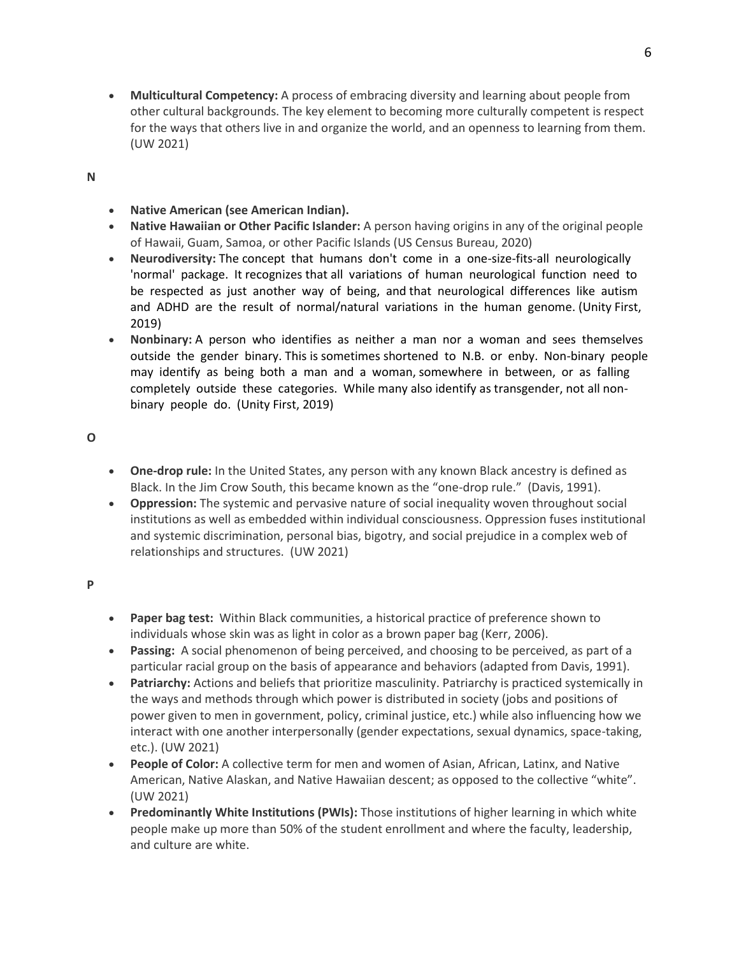• **Multicultural Competency:** A process of embracing diversity and learning about people from other cultural backgrounds. The key element to becoming more culturally competent is respect for the ways that others live in and organize the world, and an openness to learning from them. (UW 2021)

**N**

- **Native American (see American Indian).**
- **Native Hawaiian or Other Pacific Islander:** A person having origins in any of the original people of Hawaii, Guam, Samoa, or other Pacific Islands (US Census Bureau, 2020)
- **Neurodiversity:** The concept that humans don't come in a one-size-fits-all neurologically 'normal' package. It recognizes that all variations of human neurological function need to be respected as just another way of being, and that neurological differences like autism and ADHD are the result of normal/natural variations in the human genome. (Unity First, 2019)
- **Nonbinary:** A person who identifies as neither a man nor a woman and sees themselves outside the gender binary. This is sometimes shortened to N.B. or enby. Non-binary people may identify as being both a man and a woman, somewhere in between, or as falling completely outside these categories. While many also identify as transgender, not all nonbinary people do. (Unity First, 2019)

**O**

- **One-drop rule:** In the United States, any person with any known Black ancestry is defined as Black. In the Jim Crow South, this became known as the "one-drop rule." (Davis, 1991).
- **Oppression:** The systemic and pervasive nature of social inequality woven throughout social institutions as well as embedded within individual consciousness. Oppression fuses institutional and systemic discrimination, personal bias, bigotry, and social prejudice in a complex web of relationships and structures. (UW 2021)

**P**

- **Paper bag test:** Within Black communities, a historical practice of preference shown to individuals whose skin was as light in color as a brown paper bag (Kerr, 2006).
- **Passing:** A social phenomenon of being perceived, and choosing to be perceived, as part of a particular racial group on the basis of appearance and behaviors (adapted from Davis, 1991).
- **Patriarchy:** Actions and beliefs that prioritize masculinity. Patriarchy is practiced systemically in the ways and methods through which power is distributed in society (jobs and positions of power given to men in government, policy, criminal justice, etc.) while also influencing how we interact with one another interpersonally (gender expectations, sexual dynamics, space-taking, etc.). (UW 2021)
- **People of Color:** A collective term for men and women of Asian, African, Latinx, and Native American, Native Alaskan, and Native Hawaiian descent; as opposed to the collective "white". (UW 2021)
- **Predominantly White Institutions (PWIs):** Those institutions of higher learning in which white people make up more than 50% of the student enrollment and where the faculty, leadership, and culture are white.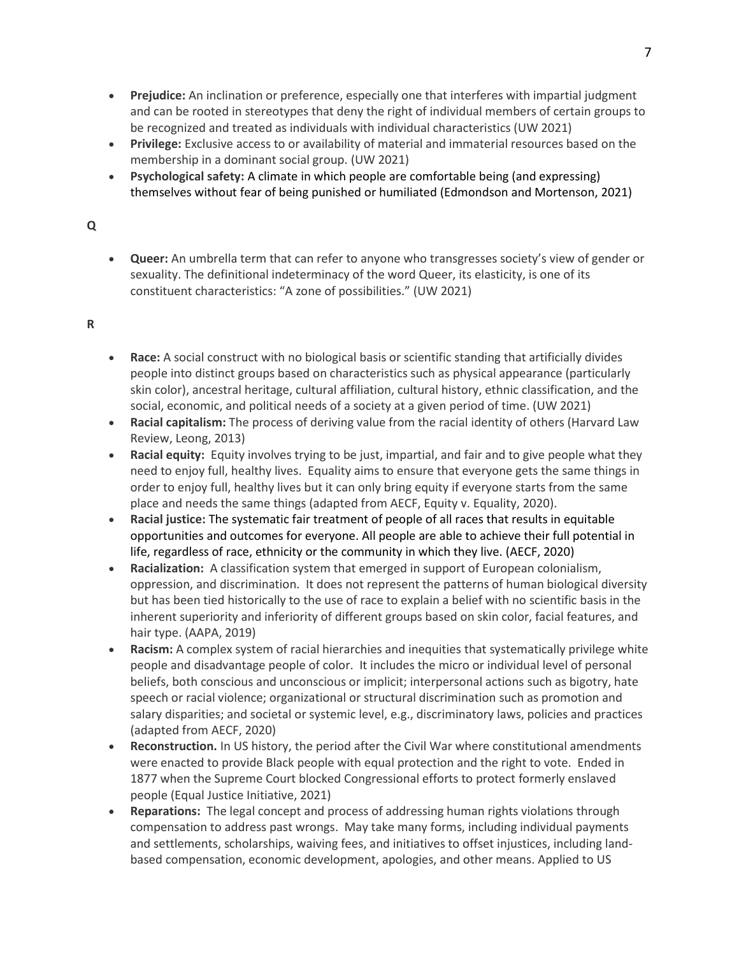- **Prejudice:** An inclination or preference, especially one that interferes with impartial judgment and can be rooted in stereotypes that deny the right of individual members of certain groups to be recognized and treated as individuals with individual characteristics (UW 2021)
- **Privilege:** Exclusive access to or availability of material and immaterial resources based on the membership in a dominant social group. (UW 2021)
- **Psychological safety:** A climate in which people are comfortable being (and expressing) themselves without fear of being punished or humiliated (Edmondson and Mortenson, 2021)

# **Q**

• **Queer:** An umbrella term that can refer to anyone who transgresses society's view of gender or sexuality. The definitional indeterminacy of the word Queer, its elasticity, is one of its constituent characteristics: "A zone of possibilities." (UW 2021)

# **R**

- **Race:** A social construct with no biological basis or scientific standing that artificially divides people into distinct groups based on characteristics such as physical appearance (particularly skin color), ancestral heritage, cultural affiliation, cultural history, ethnic classification, and the social, economic, and political needs of a society at a given period of time. (UW 2021)
- **Racial capitalism:** The process of deriving value from the racial identity of others (Harvard Law Review, Leong, 2013)
- **Racial equity:** Equity involves trying to be just, impartial, and fair and to give people what they need to enjoy full, healthy lives. Equality aims to ensure that everyone gets the same things in order to enjoy full, healthy lives but it can only bring equity if everyone starts from the same place and needs the same things (adapted from AECF, Equity v. Equality, 2020).
- **Racial justice:** The systematic fair treatment of people of all races that results in equitable opportunities and outcomes for everyone. All people are able to achieve their full potential in life, regardless of race, ethnicity or the community in which they live. (AECF, 2020)
- **Racialization:** A classification system that emerged in support of European colonialism, oppression, and discrimination. It does not represent the patterns of human biological diversity but has been tied historically to the use of race to explain a belief with no scientific basis in the inherent superiority and inferiority of different groups based on skin color, facial features, and hair type. (AAPA, 2019)
- **Racism:** A complex system of racial hierarchies and inequities that systematically privilege white people and disadvantage people of color. It includes the micro or individual level of personal beliefs, both conscious and unconscious or implicit; interpersonal actions such as bigotry, hate speech or racial violence; organizational or structural discrimination such as promotion and salary disparities; and societal or systemic level, e.g., discriminatory laws, policies and practices (adapted from AECF, 2020)
- **Reconstruction.** In US history, the period after the Civil War where constitutional amendments were enacted to provide Black people with equal protection and the right to vote. Ended in 1877 when the Supreme Court blocked Congressional efforts to protect formerly enslaved people (Equal Justice Initiative, 2021)
- **Reparations:** The legal concept and process of addressing human rights violations through compensation to address past wrongs. May take many forms, including individual payments and settlements, scholarships, waiving fees, and initiatives to offset injustices, including landbased compensation, economic development, apologies, and other means. Applied to US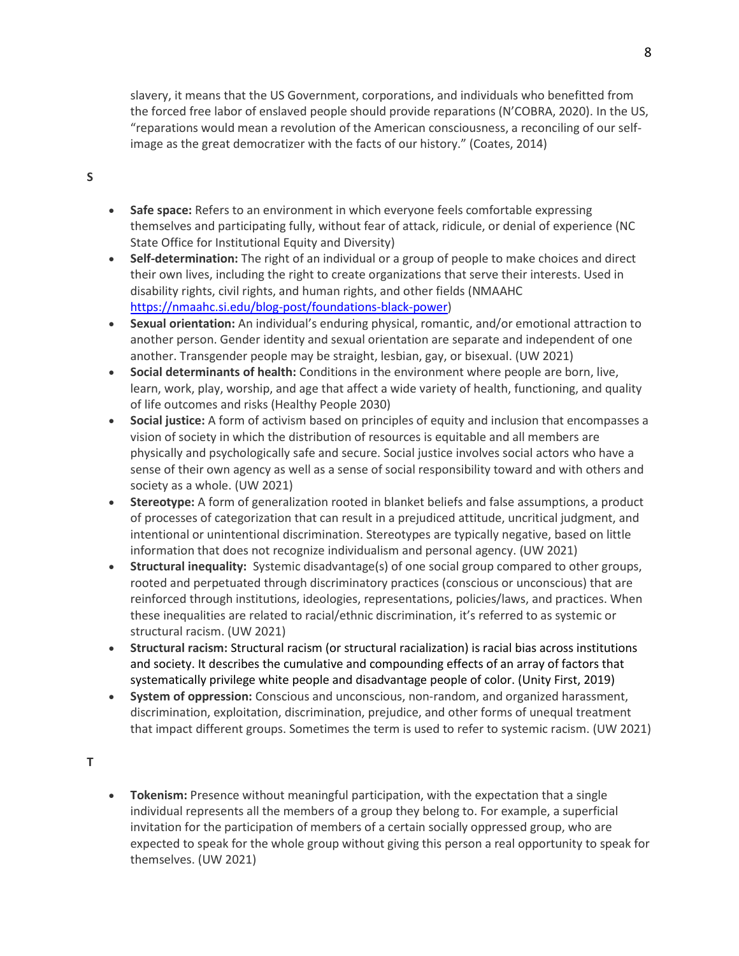slavery, it means that the US Government, corporations, and individuals who benefitted from the forced free labor of enslaved people should provide reparations (N'COBRA, 2020). In the US, "reparations would mean a revolution of the American consciousness, a reconciling of our selfimage as the great democratizer with the facts of our history." (Coates, 2014)

## **S**

- **Safe space:** Refers to an environment in which everyone feels comfortable expressing themselves and participating fully, without fear of attack, ridicule, or denial of experience (NC State Office for Institutional Equity and Diversity)
- **Self-determination:** The right of an individual or a group of people to make choices and direct their own lives, including the right to create organizations that serve their interests. Used in disability rights, civil rights, and human rights, and other fields (NMAAHC [https://nmaahc.si.edu/blog-post/foundations-black-power\)](https://nmaahc.si.edu/blog-post/foundations-black-power)
- **Sexual orientation:** An individual's enduring physical, romantic, and/or emotional attraction to another person. Gender identity and sexual orientation are separate and independent of one another. Transgender people may be straight, lesbian, gay, or bisexual. (UW 2021)
- **Social determinants of health:** Conditions in the environment where people are born, live, learn, work, play, worship, and age that affect a wide variety of health, functioning, and quality of life outcomes and risks (Healthy People 2030)
- **Social justice:** A form of activism based on principles of equity and inclusion that encompasses a vision of society in which the distribution of resources is equitable and all members are physically and psychologically safe and secure. Social justice involves social actors who have a sense of their own agency as well as a sense of social responsibility toward and with others and society as a whole. (UW 2021)
- **Stereotype:** A form of generalization rooted in blanket beliefs and false assumptions, a product of processes of categorization that can result in a prejudiced attitude, uncritical judgment, and intentional or unintentional discrimination. Stereotypes are typically negative, based on little information that does not recognize individualism and personal agency. (UW 2021)
- **Structural inequality:** Systemic disadvantage(s) of one social group compared to other groups, rooted and perpetuated through discriminatory practices (conscious or unconscious) that are reinforced through institutions, ideologies, representations, policies/laws, and practices. When these inequalities are related to racial/ethnic discrimination, it's referred to as systemic or structural racism. (UW 2021)
- **Structural racism:** Structural racism (or structural racialization) is racial bias across institutions and society. It describes the cumulative and compounding effects of an array of factors that systematically privilege white people and disadvantage people of color. (Unity First, 2019)
- **System of oppression:** Conscious and unconscious, non-random, and organized harassment, discrimination, exploitation, discrimination, prejudice, and other forms of unequal treatment that impact different groups. Sometimes the term is used to refer to systemic racism. (UW 2021)

**T**

• **Tokenism:** Presence without meaningful participation, with the expectation that a single individual represents all the members of a group they belong to. For example, a superficial invitation for the participation of members of a certain socially oppressed group, who are expected to speak for the whole group without giving this person a real opportunity to speak for themselves. (UW 2021)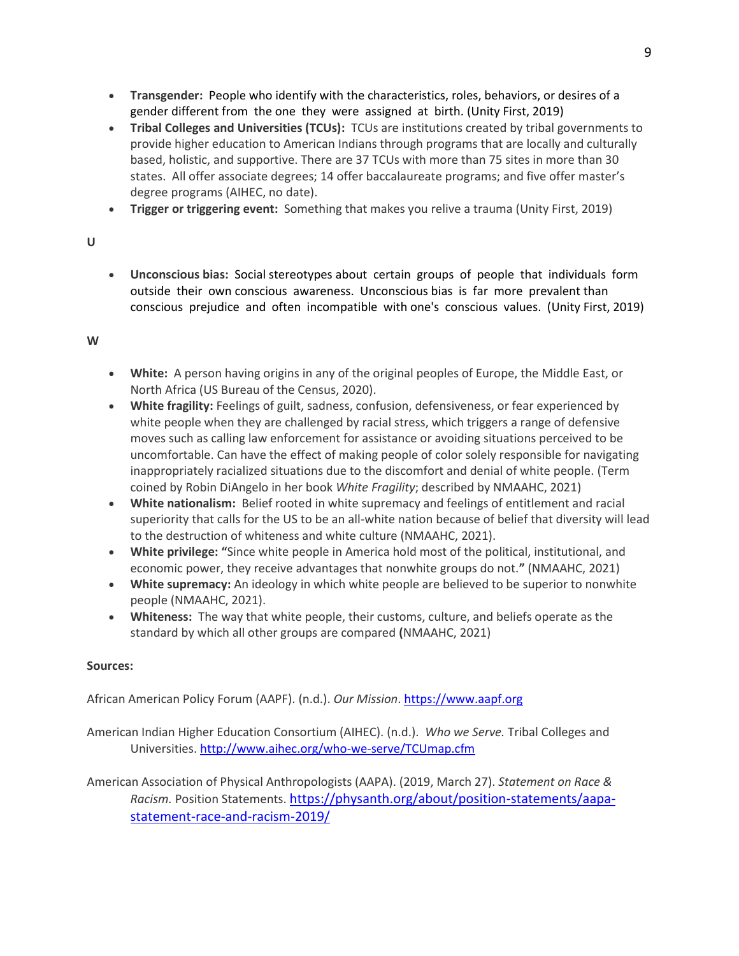- **Transgender:** People who identify with the characteristics, roles, behaviors, or desires of a gender different from the one they were assigned at birth. (Unity First, 2019)
- **Tribal Colleges and Universities (TCUs):** TCUs are institutions created by tribal governments to provide higher education to American Indians through programs that are locally and culturally based, holistic, and supportive. There are 37 TCUs with more than 75 sites in more than 30 states. All offer associate degrees; 14 offer baccalaureate programs; and five offer master's degree programs (AIHEC, no date).
- **Trigger or triggering event:** Something that makes you relive a trauma (Unity First, 2019)

# **U**

• **Unconscious bias:** Social stereotypes about certain groups of people that individuals form outside their own conscious awareness. Unconscious bias is far more prevalent than conscious prejudice and often incompatible with one's conscious values. (Unity First, 2019)

# **W**

- **White:** A person having origins in any of the original peoples of Europe, the Middle East, or North Africa (US Bureau of the Census, 2020).
- **White fragility:** Feelings of guilt, sadness, confusion, defensiveness, or fear experienced by white people when they are challenged by racial stress, which triggers a range of defensive moves such as calling law enforcement for assistance or avoiding situations perceived to be uncomfortable. Can have the effect of making people of color solely responsible for navigating inappropriately racialized situations due to the discomfort and denial of white people. (Term coined by Robin DiAngelo in her book *White Fragility*; described by NMAAHC, 2021)
- **White nationalism:** Belief rooted in white supremacy and feelings of entitlement and racial superiority that calls for the US to be an all-white nation because of belief that diversity will lead to the destruction of whiteness and white culture (NMAAHC, 2021).
- **White privilege: "**Since white people in America hold most of the political, institutional, and economic power, they receive advantages that nonwhite groups do not.**"** (NMAAHC, 2021)
- **White supremacy:** An ideology in which white people are believed to be superior to nonwhite people (NMAAHC, 2021).
- **Whiteness:** The way that white people, their customs, culture, and beliefs operate as the standard by which all other groups are compared **(**NMAAHC, 2021)

# **Sources:**

African American Policy Forum (AAPF). (n.d.). *Our Mission*. [https://www.aapf.org](https://www.aapf.org/)

American Indian Higher Education Consortium (AIHEC). (n.d.). *Who we Serve.* Tribal Colleges and Universities[. http://www.aihec.org/who-we-serve/TCUmap.cfm](http://www.aihec.org/who-we-serve/TCUmap.cfm)

American Association of Physical Anthropologists (AAPA). (2019, March 27). *Statement on Race & Racism.* Position Statements. [https://physanth.org/about/position-statements/aapa](https://physanth.org/about/position-statements/aapa-statement-race-and-racism-2019/)[statement-race-and-racism-2019/](https://physanth.org/about/position-statements/aapa-statement-race-and-racism-2019/)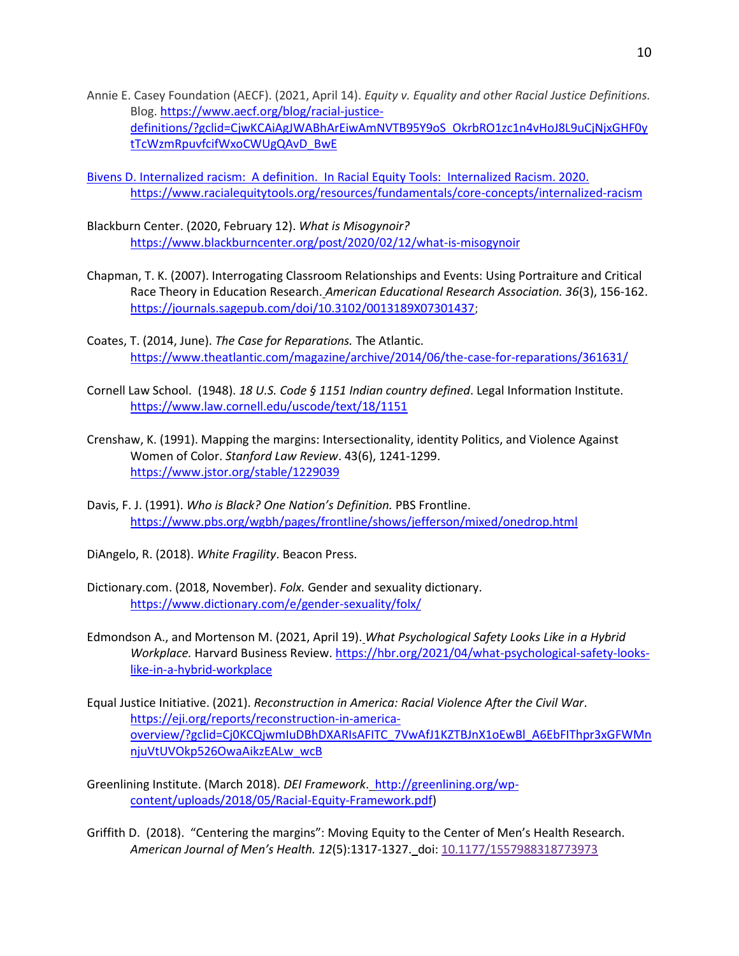- Annie E. Casey Foundation (AECF). (2021, April 14). *Equity v. Equality and other Racial Justice Definitions.* Blog. [https://www.aecf.org/blog/racial-justice](https://www.aecf.org/blog/racial-justice-definitions/?gclid=CjwKCAiAgJWABhArEiwAmNVTB95Y9oS_OkrbRO1zc1n4vHoJ8L9uCjNjxGHF0ytTcWzmRpuvfcifWxoCWUgQAvD_BwE)[definitions/?gclid=CjwKCAiAgJWABhArEiwAmNVTB95Y9oS\\_OkrbRO1zc1n4vHoJ8L9uCjNjxGHF0y](https://www.aecf.org/blog/racial-justice-definitions/?gclid=CjwKCAiAgJWABhArEiwAmNVTB95Y9oS_OkrbRO1zc1n4vHoJ8L9uCjNjxGHF0ytTcWzmRpuvfcifWxoCWUgQAvD_BwE) [tTcWzmRpuvfcifWxoCWUgQAvD\\_BwE](https://www.aecf.org/blog/racial-justice-definitions/?gclid=CjwKCAiAgJWABhArEiwAmNVTB95Y9oS_OkrbRO1zc1n4vHoJ8L9uCjNjxGHF0ytTcWzmRpuvfcifWxoCWUgQAvD_BwE)
- Bivens D. Internalized racism: A definition. In Racial Equity Tools: Internalized Racism. 2020. https://www.racialequitytools.org/resources/fundamentals/core-concepts/internalized-racism
- Blackburn Center. (2020, February 12). *What is Misogynoir?* <https://www.blackburncenter.org/post/2020/02/12/what-is-misogynoir>
- Chapman, T. K. (2007). Interrogating Classroom Relationships and Events: Using Portraiture and Critical Race Theory in Education Research. *American Educational Research Association. 36*(3), 156-162. [https://journals.sagepub.com/doi/10.3102/0013189X07301437;](https://journals.sagepub.com/doi/10.3102/0013189X07301437)
- Coates, T. (2014, June). *The Case for Reparations.* The Atlantic. https://www.theatlantic.com/magazine/archive/2014/06/the-case-for-reparations/361631/
- Cornell Law School. (1948). *18 U.S. Code § 1151 Indian country defined*. Legal Information Institute. <https://www.law.cornell.edu/uscode/text/18/1151>
- Crenshaw, K. (1991). Mapping the margins: Intersectionality, identity Politics, and Violence Against Women of Color. *Stanford Law Review*. 43(6), 1241-1299. <https://www.jstor.org/stable/1229039>
- Davis, F. J. (1991). *Who is Black? One Nation's Definition.* PBS Frontline. <https://www.pbs.org/wgbh/pages/frontline/shows/jefferson/mixed/onedrop.html>
- DiAngelo, R. (2018). *White Fragility*. Beacon Press.
- Dictionary.com. (2018, November). *Folx.* Gender and sexuality dictionary. <https://www.dictionary.com/e/gender-sexuality/folx/>
- Edmondson A., and Mortenson M. (2021, April 19). *What Psychological Safety Looks Like in a Hybrid Workplace.* Harvard Business Review. [https://hbr.org/2021/04/what-psychological-safety-looks](https://hbr.org/2021/04/what-psychological-safety-looks-like-in-a-hybrid-workplace)[like-in-a-hybrid-workplace](https://hbr.org/2021/04/what-psychological-safety-looks-like-in-a-hybrid-workplace)
- Equal Justice Initiative. (2021). *Reconstruction in America: Racial Violence After the Civil War*. [https://eji.org/reports/reconstruction-in-america](https://eji.org/reports/reconstruction-in-america-overview/?gclid=Cj0KCQjwmIuDBhDXARIsAFITC_7VwAfJ1KZTBJnX1oEwBl_A6EbFIThpr3xGFWMnnjuVtUVOkp526OwaAikzEALw_wcB)[overview/?gclid=Cj0KCQjwmIuDBhDXARIsAFITC\\_7VwAfJ1KZTBJnX1oEwBl\\_A6EbFIThpr3xGFWMn](https://eji.org/reports/reconstruction-in-america-overview/?gclid=Cj0KCQjwmIuDBhDXARIsAFITC_7VwAfJ1KZTBJnX1oEwBl_A6EbFIThpr3xGFWMnnjuVtUVOkp526OwaAikzEALw_wcB) [njuVtUVOkp526OwaAikzEALw\\_wcB](https://eji.org/reports/reconstruction-in-america-overview/?gclid=Cj0KCQjwmIuDBhDXARIsAFITC_7VwAfJ1KZTBJnX1oEwBl_A6EbFIThpr3xGFWMnnjuVtUVOkp526OwaAikzEALw_wcB)
- Greenlining Institute. (March 2018). *DEI Framework*. [http://greenlining.org/wp](http://greenlining.org/wp-content/uploads/2018/05/Racial-Equity-Framework.pdf)[content/uploads/2018/05/Racial-Equity-Framework.pdf\)](http://greenlining.org/wp-content/uploads/2018/05/Racial-Equity-Framework.pdf)
- Griffith D. (2018). "Centering the margins": Moving Equity to the Center of Men's Health Research. *American Journal of Men's Health. 12*(5):1317-1327. doi: [10.1177/1557988318773973](https://dx.doi.org/10.1177%2F1557988318773973)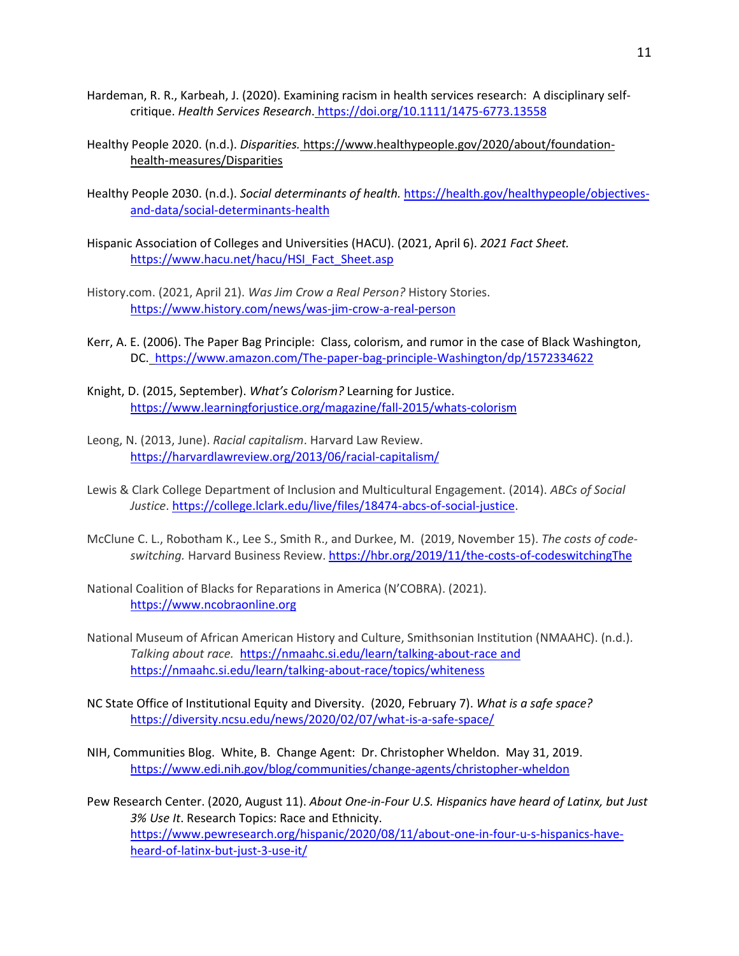- Hardeman, R. R., Karbeah, J. (2020). Examining racism in health services research: A disciplinary selfcritique. *Health Services Research*. <https://doi.org/10.1111/1475-6773.13558>
- Healthy People 2020. (n.d.). *Disparities.* https://www.healthypeople.gov/2020/about/foundationhealth-measures/Disparities
- Healthy People 2030. (n.d.). *Social determinants of health.* https://health.gov/healthypeople/objectivesand-data/social-determinants-health
- Hispanic Association of Colleges and Universities (HACU). (2021, April 6). *2021 Fact Sheet.*  [https://www.hacu.net/hacu/HSI\\_Fact\\_Sheet.asp](https://www.hacu.net/hacu/HSI_Fact_Sheet.asp)
- History.com. (2021, April 21). *Was Jim Crow a Real Person?* History Stories. <https://www.history.com/news/was-jim-crow-a-real-person>
- Kerr, A. E. (2006). The Paper Bag Principle: Class, colorism, and rumor in the case of Black Washington, DC. <https://www.amazon.com/The-paper-bag-principle-Washington/dp/1572334622>
- Knight, D. (2015, September). *What's Colorism?* Learning for Justice. https://www.learningforjustice.org/magazine/fall-2015/whats-colorism
- Leong, N. (2013, June). *Racial capitalism*. Harvard Law Review. <https://harvardlawreview.org/2013/06/racial-capitalism/>
- Lewis & Clark College Department of Inclusion and Multicultural Engagement. (2014). *ABCs of Social Justice*[. https://college.lclark.edu/live/files/18474-abcs-of-social-justice.](https://college.lclark.edu/live/files/18474-abcs-of-social-justice)
- McClune C. L., Robotham K., Lee S., Smith R., and Durkee, M. (2019, November 15). *The costs of codeswitching.* Harvard Business Review. <https://hbr.org/2019/11/the-costs-of-codeswitchingThe>
- National Coalition of Blacks for Reparations in America (N'COBRA). (2021). [https://www.ncobraonline.org](https://www.ncobraonline.org/)
- National Museum of African American History and Culture, Smithsonian Institution (NMAAHC). (n.d.). *Talking about race.*<https://nmaahc.si.edu/learn/talking-about-race> and <https://nmaahc.si.edu/learn/talking-about-race/topics/whiteness>
- NC State Office of Institutional Equity and Diversity. (2020, February 7). *What is a safe space?* https://diversity.ncsu.edu/news/2020/02/07/what-is-a-safe-space/
- NIH, Communities Blog. White, B. Change Agent: Dr. Christopher Wheldon. May 31, 2019. <https://www.edi.nih.gov/blog/communities/change-agents/christopher-wheldon>
- Pew Research Center. (2020, August 11). *About One-in-Four U.S. Hispanics have heard of Latinx, but Just 3% Use It*. Research Topics: Race and Ethnicity. [https://www.pewresearch.org/hispanic/2020/08/11/about-one-in-four-u-s-hispanics-have](https://www.pewresearch.org/hispanic/2020/08/11/about-one-in-four-u-s-hispanics-have-heard-of-latinx-but-just-3-use-it/)[heard-of-latinx-but-just-3-use-it/](https://www.pewresearch.org/hispanic/2020/08/11/about-one-in-four-u-s-hispanics-have-heard-of-latinx-but-just-3-use-it/)